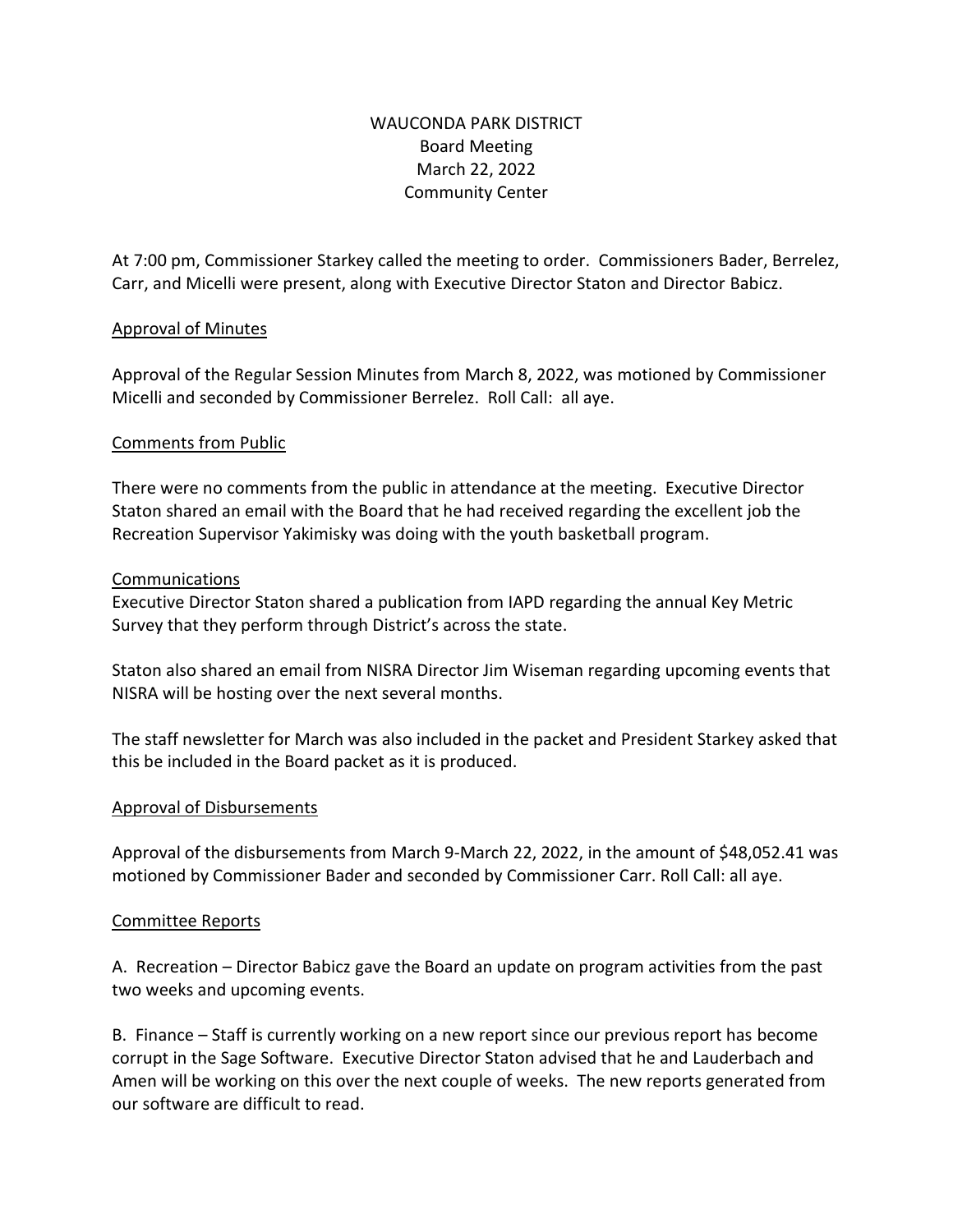## WAUCONDA PARK DISTRICT Board Meeting March 22, 2022 Community Center

At 7:00 pm, Commissioner Starkey called the meeting to order. Commissioners Bader, Berrelez, Carr, and Micelli were present, along with Executive Director Staton and Director Babicz.

## Approval of Minutes

Approval of the Regular Session Minutes from March 8, 2022, was motioned by Commissioner Micelli and seconded by Commissioner Berrelez. Roll Call: all aye.

## Comments from Public

There were no comments from the public in attendance at the meeting. Executive Director Staton shared an email with the Board that he had received regarding the excellent job the Recreation Supervisor Yakimisky was doing with the youth basketball program.

#### Communications

Executive Director Staton shared a publication from IAPD regarding the annual Key Metric Survey that they perform through District's across the state.

Staton also shared an email from NISRA Director Jim Wiseman regarding upcoming events that NISRA will be hosting over the next several months.

The staff newsletter for March was also included in the packet and President Starkey asked that this be included in the Board packet as it is produced.

## Approval of Disbursements

Approval of the disbursements from March 9-March 22, 2022, in the amount of \$48,052.41 was motioned by Commissioner Bader and seconded by Commissioner Carr. Roll Call: all aye.

#### Committee Reports

A. Recreation – Director Babicz gave the Board an update on program activities from the past two weeks and upcoming events.

B. Finance – Staff is currently working on a new report since our previous report has become corrupt in the Sage Software. Executive Director Staton advised that he and Lauderbach and Amen will be working on this over the next couple of weeks. The new reports generated from our software are difficult to read.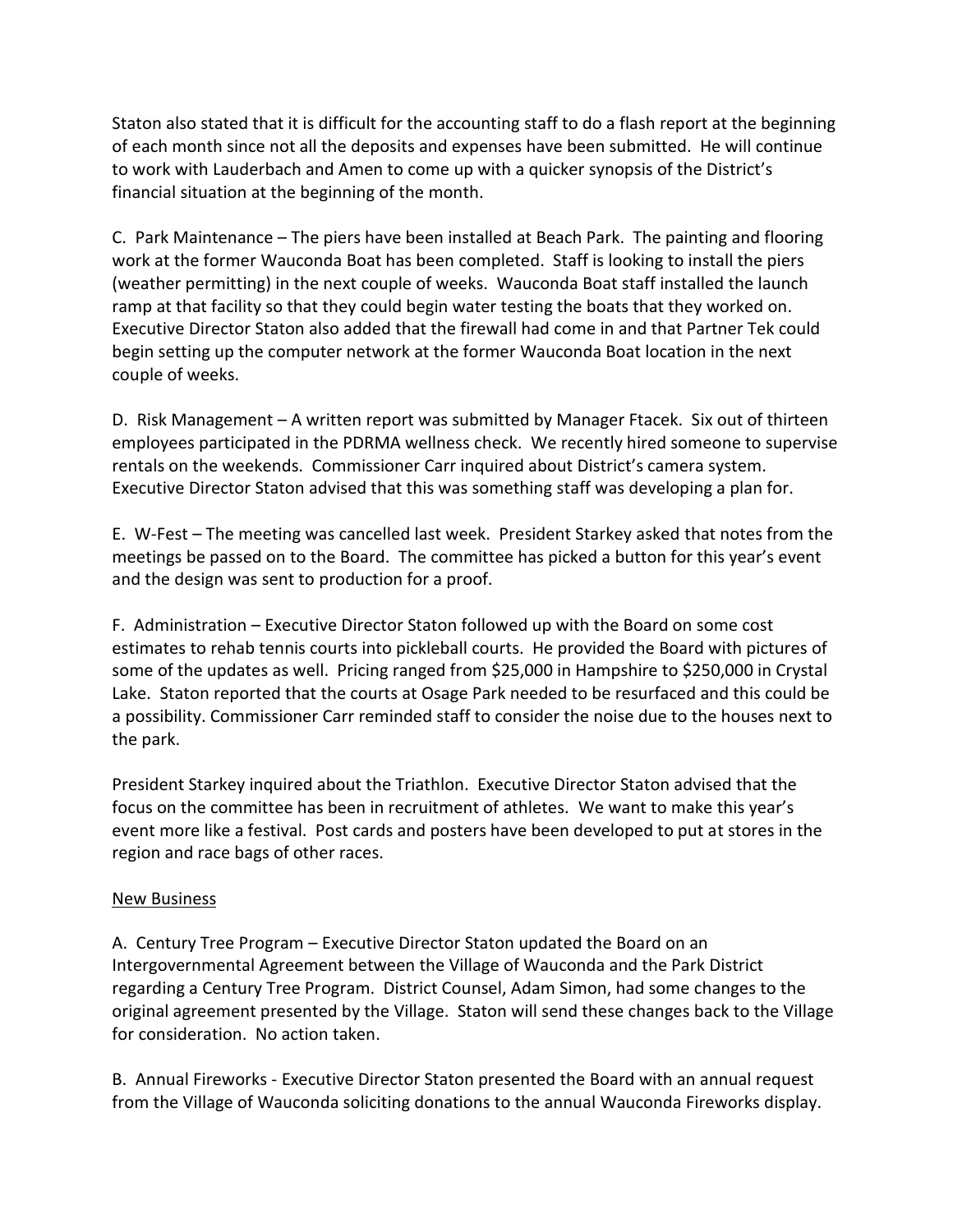Staton also stated that it is difficult for the accounting staff to do a flash report at the beginning of each month since not all the deposits and expenses have been submitted. He will continue to work with Lauderbach and Amen to come up with a quicker synopsis of the District's financial situation at the beginning of the month.

C. Park Maintenance – The piers have been installed at Beach Park. The painting and flooring work at the former Wauconda Boat has been completed. Staff is looking to install the piers (weather permitting) in the next couple of weeks. Wauconda Boat staff installed the launch ramp at that facility so that they could begin water testing the boats that they worked on. Executive Director Staton also added that the firewall had come in and that Partner Tek could begin setting up the computer network at the former Wauconda Boat location in the next couple of weeks.

D. Risk Management – A written report was submitted by Manager Ftacek. Six out of thirteen employees participated in the PDRMA wellness check. We recently hired someone to supervise rentals on the weekends. Commissioner Carr inquired about District's camera system. Executive Director Staton advised that this was something staff was developing a plan for.

E. W-Fest – The meeting was cancelled last week. President Starkey asked that notes from the meetings be passed on to the Board. The committee has picked a button for this year's event and the design was sent to production for a proof.

F. Administration – Executive Director Staton followed up with the Board on some cost estimates to rehab tennis courts into pickleball courts. He provided the Board with pictures of some of the updates as well. Pricing ranged from \$25,000 in Hampshire to \$250,000 in Crystal Lake. Staton reported that the courts at Osage Park needed to be resurfaced and this could be a possibility. Commissioner Carr reminded staff to consider the noise due to the houses next to the park.

President Starkey inquired about the Triathlon. Executive Director Staton advised that the focus on the committee has been in recruitment of athletes. We want to make this year's event more like a festival. Post cards and posters have been developed to put at stores in the region and race bags of other races.

#### New Business

A. Century Tree Program – Executive Director Staton updated the Board on an Intergovernmental Agreement between the Village of Wauconda and the Park District regarding a Century Tree Program. District Counsel, Adam Simon, had some changes to the original agreement presented by the Village. Staton will send these changes back to the Village for consideration. No action taken.

B. Annual Fireworks - Executive Director Staton presented the Board with an annual request from the Village of Wauconda soliciting donations to the annual Wauconda Fireworks display.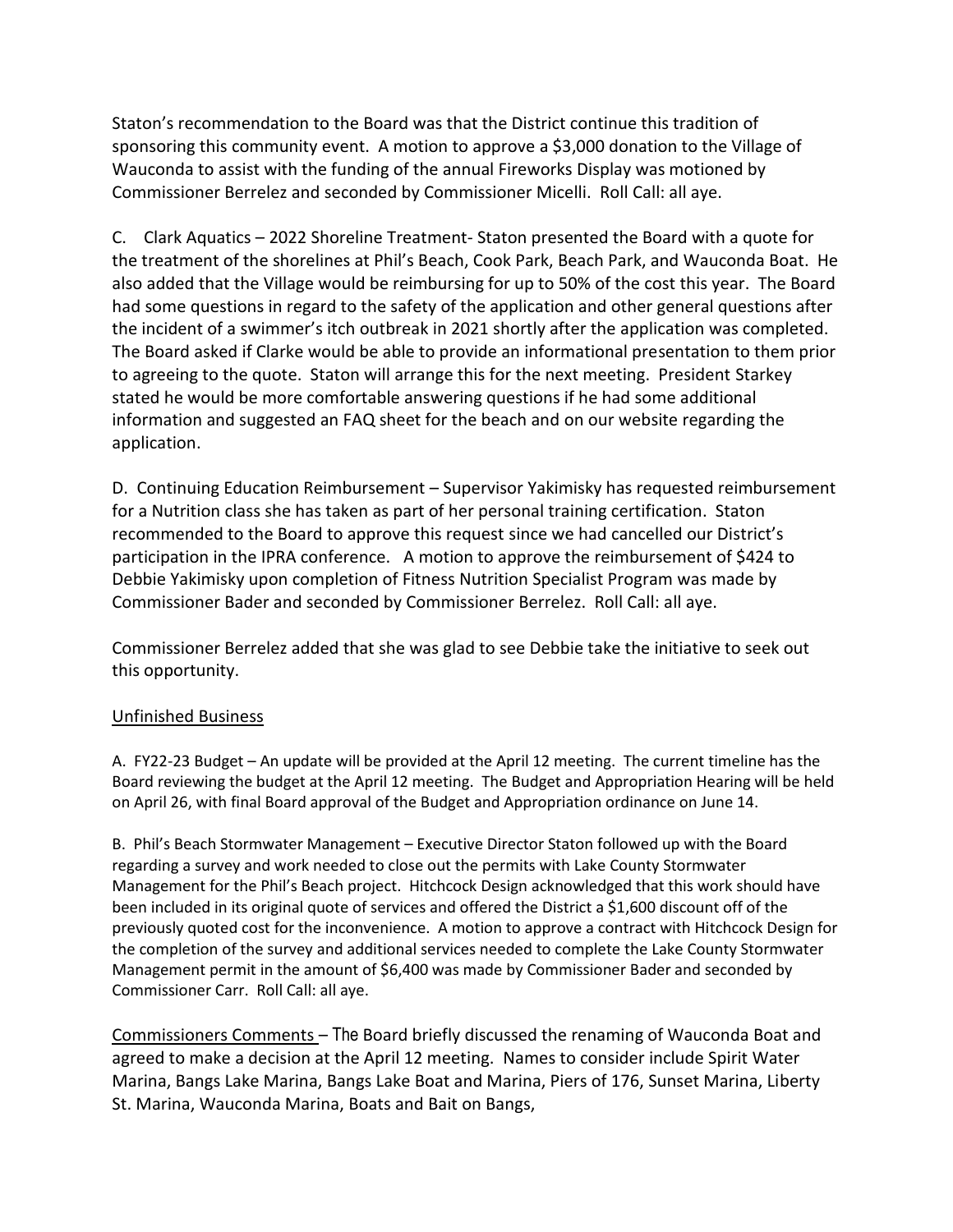Staton's recommendation to the Board was that the District continue this tradition of sponsoring this community event. A motion to approve a \$3,000 donation to the Village of Wauconda to assist with the funding of the annual Fireworks Display was motioned by Commissioner Berrelez and seconded by Commissioner Micelli. Roll Call: all aye.

C. Clark Aquatics – 2022 Shoreline Treatment- Staton presented the Board with a quote for the treatment of the shorelines at Phil's Beach, Cook Park, Beach Park, and Wauconda Boat. He also added that the Village would be reimbursing for up to 50% of the cost this year. The Board had some questions in regard to the safety of the application and other general questions after the incident of a swimmer's itch outbreak in 2021 shortly after the application was completed. The Board asked if Clarke would be able to provide an informational presentation to them prior to agreeing to the quote. Staton will arrange this for the next meeting. President Starkey stated he would be more comfortable answering questions if he had some additional information and suggested an FAQ sheet for the beach and on our website regarding the application.

D. Continuing Education Reimbursement – Supervisor Yakimisky has requested reimbursement for a Nutrition class she has taken as part of her personal training certification. Staton recommended to the Board to approve this request since we had cancelled our District's participation in the IPRA conference. A motion to approve the reimbursement of \$424 to Debbie Yakimisky upon completion of Fitness Nutrition Specialist Program was made by Commissioner Bader and seconded by Commissioner Berrelez. Roll Call: all aye.

Commissioner Berrelez added that she was glad to see Debbie take the initiative to seek out this opportunity.

#### Unfinished Business

A. FY22-23 Budget – An update will be provided at the April 12 meeting. The current timeline has the Board reviewing the budget at the April 12 meeting. The Budget and Appropriation Hearing will be held on April 26, with final Board approval of the Budget and Appropriation ordinance on June 14.

B. Phil's Beach Stormwater Management – Executive Director Staton followed up with the Board regarding a survey and work needed to close out the permits with Lake County Stormwater Management for the Phil's Beach project. Hitchcock Design acknowledged that this work should have been included in its original quote of services and offered the District a \$1,600 discount off of the previously quoted cost for the inconvenience. A motion to approve a contract with Hitchcock Design for the completion of the survey and additional services needed to complete the Lake County Stormwater Management permit in the amount of \$6,400 was made by Commissioner Bader and seconded by Commissioner Carr. Roll Call: all aye.

Commissioners Comments – The Board briefly discussed the renaming of Wauconda Boat and agreed to make a decision at the April 12 meeting. Names to consider include Spirit Water Marina, Bangs Lake Marina, Bangs Lake Boat and Marina, Piers of 176, Sunset Marina, Liberty St. Marina, Wauconda Marina, Boats and Bait on Bangs,